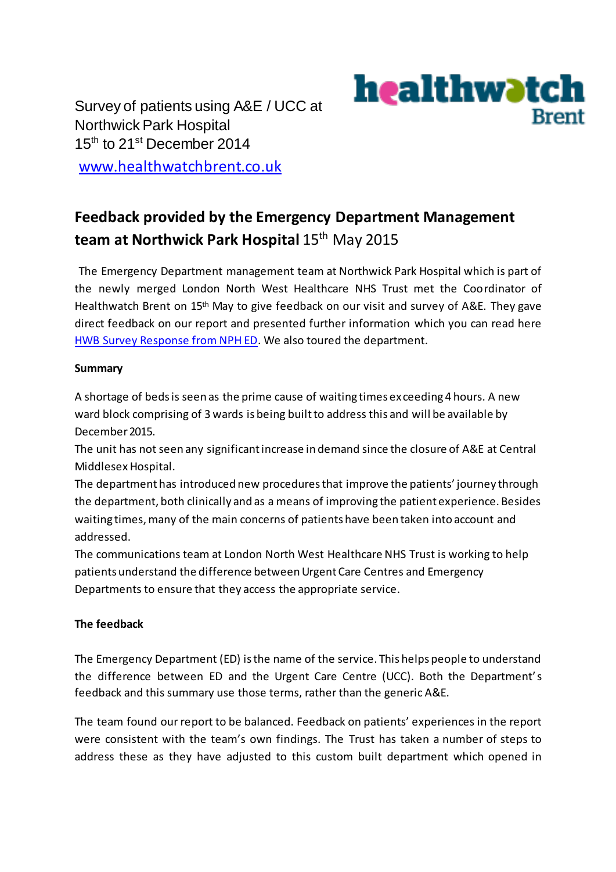Survey of patients using A&E / UCC at Northwick Park Hospital 15<sup>th</sup> to 21<sup>st</sup> December 2014



[www.healthwatchbrent.co.uk](http://www.healthwatchbrent.co.uk/)

## **Feedback provided by the Emergency Department Management**  team at Northwick Park Hospital 15<sup>th</sup> May 2015

The Emergency Department management team at Northwick Park Hospital which is part of the newly merged London North West Healthcare NHS Trust met the Coordinator of Healthwatch Brent on 15<sup>th</sup> May to give feedback on our visit and survey of A&E. They gave direct feedback on our report and presented further information which you can read here [HWB Survey Response from NPH ED.](https://drive.google.com/a/cvsbrent.org.uk/file/d/0BxA67dNyvDUqOHpHVXNPbWdxUkVtV3FSUlg2TDk2WGwxbC1F/view) We also toured the department.

## **Summary**

A shortage of beds is seen as the prime cause of waiting times ex ceeding 4 hours. A new ward block comprising of 3 wards is being built to address this and will be available by December 2015.

The unit has not seen any significant increase in demand since the closure of A&E at Central Middlesex Hospital.

The department has introduced new procedures that improve the patients' journey through the department, both clinically and as a means of improving the patient experience. Besides waiting times, many of the main concerns of patients have been taken into account and addressed.

The communications team at London North West Healthcare NHS Trust is working to help patients understand the difference between Urgent Care Centres and Emergency Departments to ensure that they access the appropriate service.

## **The feedback**

The Emergency Department (ED) is the name of the service. This helps people to understand the difference between ED and the Urgent Care Centre (UCC). Both the Department's feedback and this summary use those terms, rather than the generic A&E.

The team found our report to be balanced. Feedback on patients' experiences in the report were consistent with the team's own findings. The Trust has taken a number of steps to address these as they have adjusted to this custom built department which opened in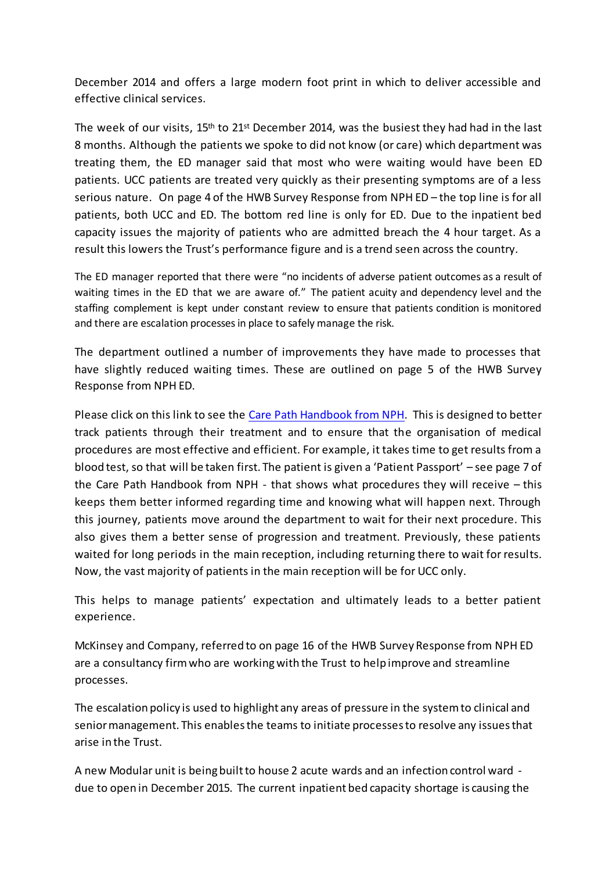December 2014 and offers a large modern foot print in which to deliver accessible and effective clinical services.

The week of our visits,  $15<sup>th</sup>$  to  $21<sup>st</sup>$  December 2014, was the busiest they had had in the last 8 months. Although the patients we spoke to did not know (or care) which department was treating them, the ED manager said that most who were waiting would have been ED patients. UCC patients are treated very quickly as their presenting symptoms are of a less serious nature. On page 4 of the HWB Survey Response from NPH ED – the top line is for all patients, both UCC and ED. The bottom red line is only for ED. Due to the inpatient bed capacity issues the majority of patients who are admitted breach the 4 hour target. As a result this lowers the Trust's performance figure and is a trend seen across the country.

The ED manager reported that there were "no incidents of adverse patient outcomes as a result of waiting times in the ED that we are aware of." The patient acuity and dependency level and the staffing complement is kept under constant review to ensure that patients condition is monitored and there are escalation processes in place to safely manage the risk.

The department outlined a number of improvements they have made to processes that have slightly reduced waiting times. These are outlined on page 5 of the HWB Survey Response from NPH ED.

Please click on this link to see th[e Care Path Handbook from NPH.](https://drive.google.com/file/d/0BxA67dNyvDUqeUlORHlrVXBqSzZJTWNUemtScEs2bDVCV2hz/view?usp=sharing) This is designed to better track patients through their treatment and to ensure that the organisation of medical procedures are most effective and efficient. For example, it takes time to get results from a blood test, so that will be taken first. The patient is given a 'Patient Passport' – see page 7 of the Care Path Handbook from NPH - that shows what procedures they will receive – this keeps them better informed regarding time and knowing what will happen next. Through this journey, patients move around the department to wait for their next procedure. This also gives them a better sense of progression and treatment. Previously, these patients waited for long periods in the main reception, including returning there to wait for results. Now, the vast majority of patients in the main reception will be for UCC only.

This helps to manage patients' expectation and ultimately leads to a better patient experience.

McKinsey and Company, referred to on page 16 of the HWB Survey Response from NPH ED are a consultancy firm who are working with the Trust to help improve and streamline processes.

The escalation policy is used to highlight any areas of pressure in the system to clinical and senior management. This enables the teams to initiate processes to resolve any issues that arise in the Trust.

A new Modular unit is being built to house 2 acute wards and an infection control ward due to open in December 2015. The current inpatient bed capacity shortage is causing the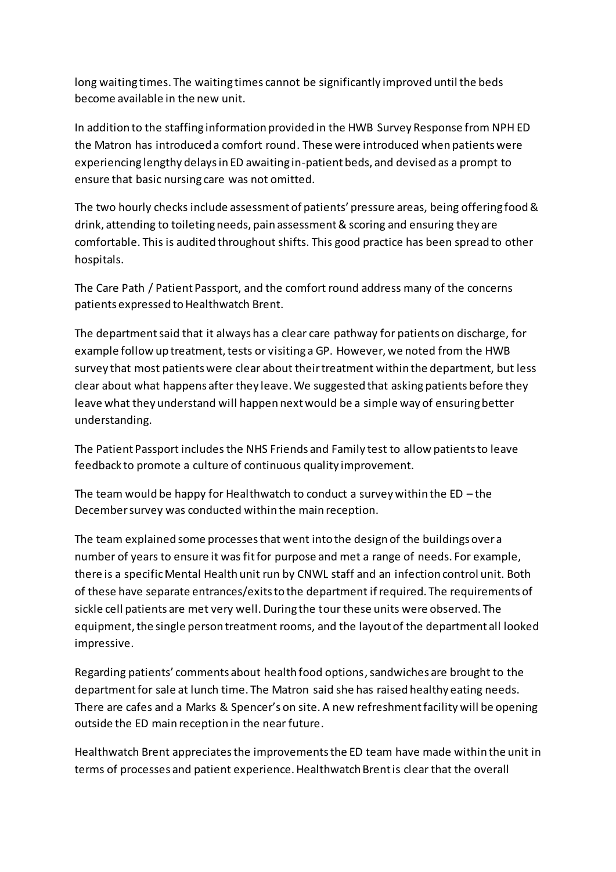long waiting times. The waiting times cannot be significantly improved until the beds become available in the new unit.

In addition to the staffing information provided in the HWB Survey Response from NPH ED the Matron has introduced a comfort round. These were introduced when patients were experiencing lengthy delays in ED awaiting in-patient beds, and devised as a prompt to ensure that basic nursing care was not omitted.

The two hourly checks include assessment of patients' pressure areas, being offering food & drink, attending to toileting needs, pain assessment & scoring and ensuring they are comfortable. This is audited throughout shifts. This good practice has been spread to other hospitals.

The Care Path / Patient Passport, and the comfort round address many of the concerns patients expressed to Healthwatch Brent.

The department said that it always has a clear care pathway for patients on discharge, for example follow up treatment, tests or visiting a GP. However, we noted from the HWB survey that most patients were clear about their treatment within the department, but less clear about what happens after they leave. We suggested that asking patients before they leave what they understand will happen next would be a simple way of ensuring better understanding.

The Patient Passport includes the NHS Friends and Family test to allow patients to leave feedback to promote a culture of continuous quality improvement.

The team would be happy for Healthwatch to conduct a survey within the  $ED$  – the December survey was conducted within the main reception.

The team explained some processes that went into the design of the buildings over a number of years to ensure it was fit for purpose and met a range of needs. For example, there is a specific Mental Health unit run by CNWL staff and an infection control unit. Both of these have separate entrances/exits to the department if required. The requirements of sickle cell patients are met very well. During the tour these units were observed. The equipment, the single person treatment rooms, and the layout of the department all looked impressive.

Regarding patients' comments about health food options, sandwiches are brought to the department for sale at lunch time. The Matron said she has raised healthy eating needs. There are cafes and a Marks & Spencer's on site. A new refreshment facility will be opening outside the ED main reception in the near future.

Healthwatch Brent appreciates the improvements the ED team have made within the unit in terms of processes and patient experience. Healthwatch Brent is clear that the overall